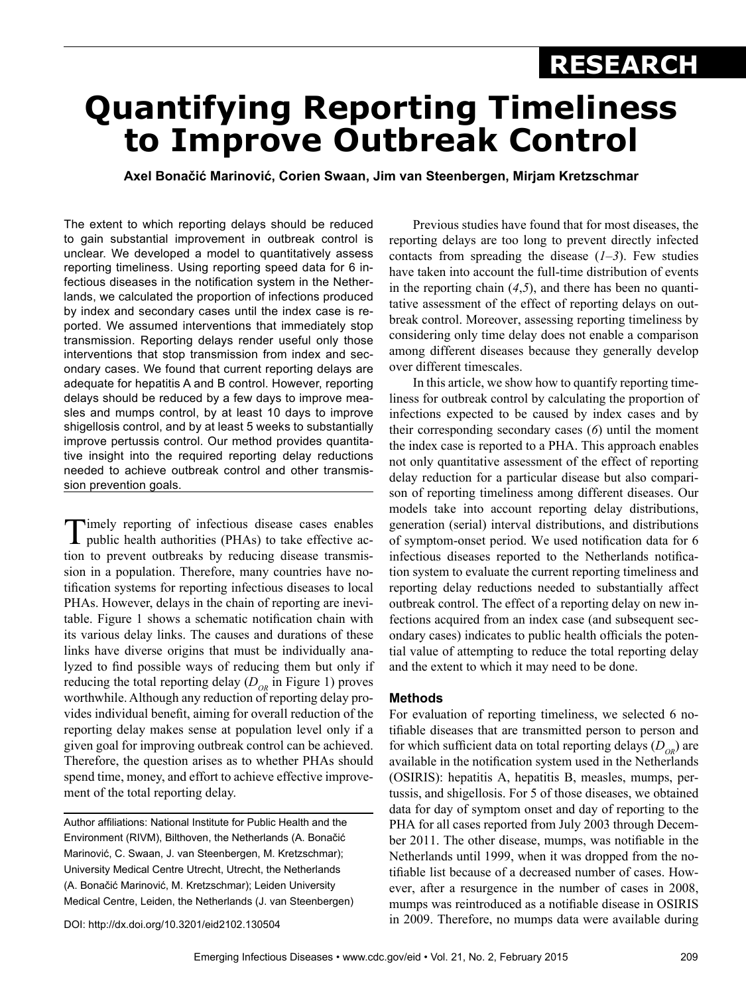# **Quantifying Reporting Timeliness to Improve Outbreak Control RESEARCH**

**Axel Bonačić Marinović, Corien Swaan, Jim van Steenbergen, Mirjam Kretzschmar**

The extent to which reporting delays should be reduced to gain substantial improvement in outbreak control is unclear. We developed a model to quantitatively assess reporting timeliness. Using reporting speed data for 6 infectious diseases in the notification system in the Netherlands, we calculated the proportion of infections produced by index and secondary cases until the index case is reported. We assumed interventions that immediately stop transmission. Reporting delays render useful only those interventions that stop transmission from index and secondary cases. We found that current reporting delays are adequate for hepatitis A and B control. However, reporting delays should be reduced by a few days to improve measles and mumps control, by at least 10 days to improve shigellosis control, and by at least 5 weeks to substantially improve pertussis control. Our method provides quantitative insight into the required reporting delay reductions needed to achieve outbreak control and other transmission prevention goals.

Timely reporting of infectious disease cases enables public health authorities (PHAs) to take effective action to prevent outbreaks by reducing disease transmission in a population. Therefore, many countries have notification systems for reporting infectious diseases to local PHAs. However, delays in the chain of reporting are inevitable. Figure 1 shows a schematic notification chain with its various delay links. The causes and durations of these links have diverse origins that must be individually analyzed to find possible ways of reducing them but only if reducing the total reporting delay  $(D_{OR}$  in Figure 1) proves worthwhile. Although any reduction of reporting delay provides individual benefit, aiming for overall reduction of the reporting delay makes sense at population level only if a given goal for improving outbreak control can be achieved. Therefore, the question arises as to whether PHAs should spend time, money, and effort to achieve effective improvement of the total reporting delay.

Author affiliations: National Institute for Public Health and the Environment (RIVM), Bilthoven, the Netherlands (A. Bonačić Marinović, C. Swaan, J. van Steenbergen, M. Kretzschmar); University Medical Centre Utrecht, Utrecht, the Netherlands (A. Bonačić Marinović, M. Kretzschmar); Leiden University Medical Centre, Leiden, the Netherlands (J. van Steenbergen)

DOI: http://dx.doi.org/10.3201/eid2102.130504

Previous studies have found that for most diseases, the reporting delays are too long to prevent directly infected contacts from spreading the disease  $(1-3)$ . Few studies have taken into account the full-time distribution of events in the reporting chain (*4*,*5*), and there has been no quantitative assessment of the effect of reporting delays on outbreak control. Moreover, assessing reporting timeliness by considering only time delay does not enable a comparison among different diseases because they generally develop over different timescales.

In this article, we show how to quantify reporting timeliness for outbreak control by calculating the proportion of infections expected to be caused by index cases and by their corresponding secondary cases (*6*) until the moment the index case is reported to a PHA. This approach enables not only quantitative assessment of the effect of reporting delay reduction for a particular disease but also comparison of reporting timeliness among different diseases. Our models take into account reporting delay distributions, generation (serial) interval distributions, and distributions of symptom-onset period. We used notification data for 6 infectious diseases reported to the Netherlands notification system to evaluate the current reporting timeliness and reporting delay reductions needed to substantially affect outbreak control. The effect of a reporting delay on new infections acquired from an index case (and subsequent secondary cases) indicates to public health officials the potential value of attempting to reduce the total reporting delay and the extent to which it may need to be done.

### **Methods**

For evaluation of reporting timeliness, we selected 6 notifiable diseases that are transmitted person to person and for which sufficient data on total reporting delays  $(D_{\alpha}$ ) are available in the notification system used in the Netherlands (OSIRIS): hepatitis A, hepatitis B, measles, mumps, pertussis, and shigellosis. For 5 of those diseases, we obtained data for day of symptom onset and day of reporting to the PHA for all cases reported from July 2003 through December 2011. The other disease, mumps, was notifiable in the Netherlands until 1999, when it was dropped from the notifiable list because of a decreased number of cases. However, after a resurgence in the number of cases in 2008, mumps was reintroduced as a notifiable disease in OSIRIS in 2009. Therefore, no mumps data were available during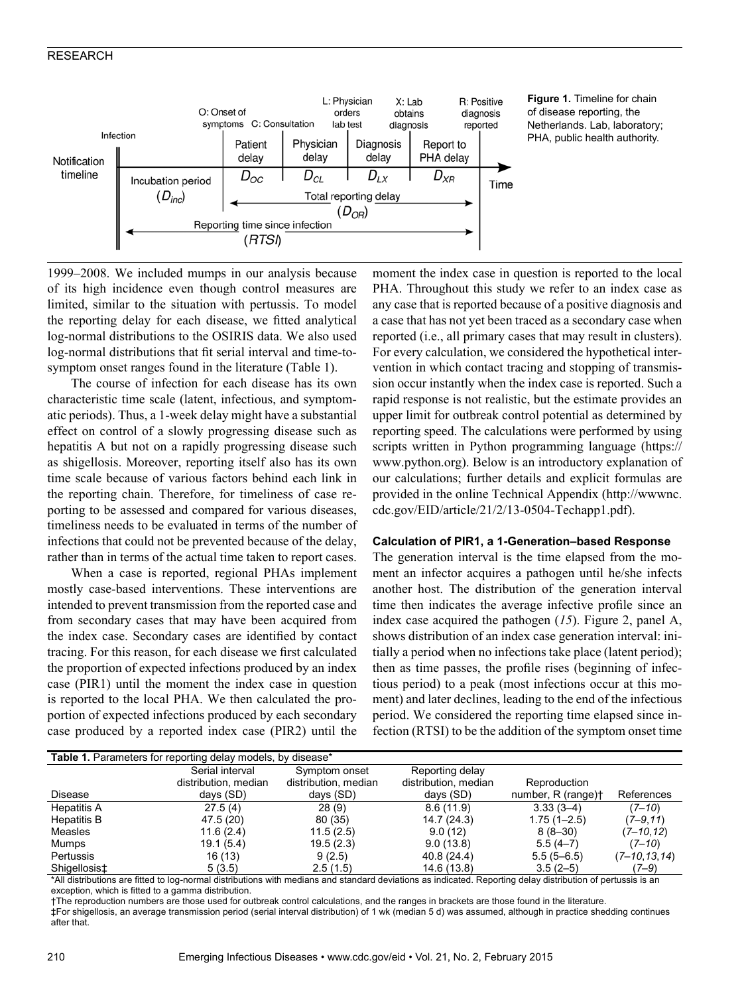

**Figure 1.** Timeline for chain of disease reporting, the Netherlands. Lab, laboratory; PHA, public health authority.

1999–2008. We included mumps in our analysis because of its high incidence even though control measures are limited, similar to the situation with pertussis. To model the reporting delay for each disease, we fitted analytical log-normal distributions to the OSIRIS data. We also used log-normal distributions that fit serial interval and time-tosymptom onset ranges found in the literature (Table 1).

The course of infection for each disease has its own characteristic time scale (latent, infectious, and symptomatic periods). Thus, a 1-week delay might have a substantial effect on control of a slowly progressing disease such as hepatitis A but not on a rapidly progressing disease such as shigellosis. Moreover, reporting itself also has its own time scale because of various factors behind each link in the reporting chain. Therefore, for timeliness of case reporting to be assessed and compared for various diseases, timeliness needs to be evaluated in terms of the number of infections that could not be prevented because of the delay, rather than in terms of the actual time taken to report cases.

When a case is reported, regional PHAs implement mostly case-based interventions. These interventions are intended to prevent transmission from the reported case and from secondary cases that may have been acquired from the index case. Secondary cases are identified by contact tracing. For this reason, for each disease we first calculated the proportion of expected infections produced by an index case (PIR1) until the moment the index case in question is reported to the local PHA. We then calculated the proportion of expected infections produced by each secondary case produced by a reported index case (PIR2) until the moment the index case in question is reported to the local PHA. Throughout this study we refer to an index case as any case that is reported because of a positive diagnosis and a case that has not yet been traced as a secondary case when reported (i.e., all primary cases that may result in clusters). For every calculation, we considered the hypothetical intervention in which contact tracing and stopping of transmission occur instantly when the index case is reported. Such a rapid response is not realistic, but the estimate provides an upper limit for outbreak control potential as determined by reporting speed. The calculations were performed by using scripts written in Python programming language (https:// www.python.org). Below is an introductory explanation of our calculations; further details and explicit formulas are provided in the online Technical Appendix (http://wwwnc. cdc.gov/EID/article/21/2/13-0504-Techapp1.pdf).

### **Calculation of PIR1, a 1-Generation–based Response**

The generation interval is the time elapsed from the moment an infector acquires a pathogen until he/she infects another host. The distribution of the generation interval time then indicates the average infective profile since an index case acquired the pathogen (*15*). Figure 2, panel A, shows distribution of an index case generation interval: initially a period when no infections take place (latent period); then as time passes, the profile rises (beginning of infectious period) to a peak (most infections occur at this moment) and later declines, leading to the end of the infectious period. We considered the reporting time elapsed since infection (RTSI) to be the addition of the symptom onset time

| <b>Table 1.</b> Parameters for reporting delay models, by disease <sup>*</sup> |                      |                      |                      |                    |                  |  |  |  |  |  |
|--------------------------------------------------------------------------------|----------------------|----------------------|----------------------|--------------------|------------------|--|--|--|--|--|
|                                                                                | Serial interval      | Symptom onset        | Reporting delay      |                    |                  |  |  |  |  |  |
|                                                                                | distribution, median | distribution, median | distribution, median | Reproduction       |                  |  |  |  |  |  |
| Disease                                                                        | days (SD)            | days (SD)            | days (SD)            | number, R (range)† | References       |  |  |  |  |  |
| <b>Hepatitis A</b>                                                             | 27.5(4)              | 28(9)                | 8.6(11.9)            | $3.33(3-4)$        | $(7 - 10)$       |  |  |  |  |  |
| Hepatitis B                                                                    | 47.5 (20)            | 80 (35)              | 14.7 (24.3)          | $1.75(1 - 2.5)$    | $(7-9, 11)$      |  |  |  |  |  |
| Measles                                                                        | 11.6(2.4)            | 11.5(2.5)            | 9.0(12)              | $8(8-30)$          | $(7-10, 12)$     |  |  |  |  |  |
| Mumps                                                                          | 19.1(5.4)            | 19.5(2.3)            | 9.0(13.8)            | $5.5(4-7)$         | $(7 - 10)$       |  |  |  |  |  |
| Pertussis                                                                      | 16 (13)              | 9(2.5)               | 40.8 (24.4)          | $5.5(5-6.5)$       | $(7-10, 13, 14)$ |  |  |  |  |  |
| Shigellosis‡                                                                   | 5(3.5)               | 2.5(1.5)             | 14.6 (13.8)          | $3.5(2-5)$         | $(7-9)$          |  |  |  |  |  |

\*All distributions are fitted to log-normal distributions with medians and standard deviations as indicated. Reporting delay distribution of pertussis is an exception, which is fitted to a gamma distribution.

†The reproduction numbers are those used for outbreak control calculations, and the ranges in brackets are those found in the literature.

‡For shigellosis, an average transmission period (serial interval distribution) of 1 wk (median 5 d) was assumed, although in practice shedding continues after that.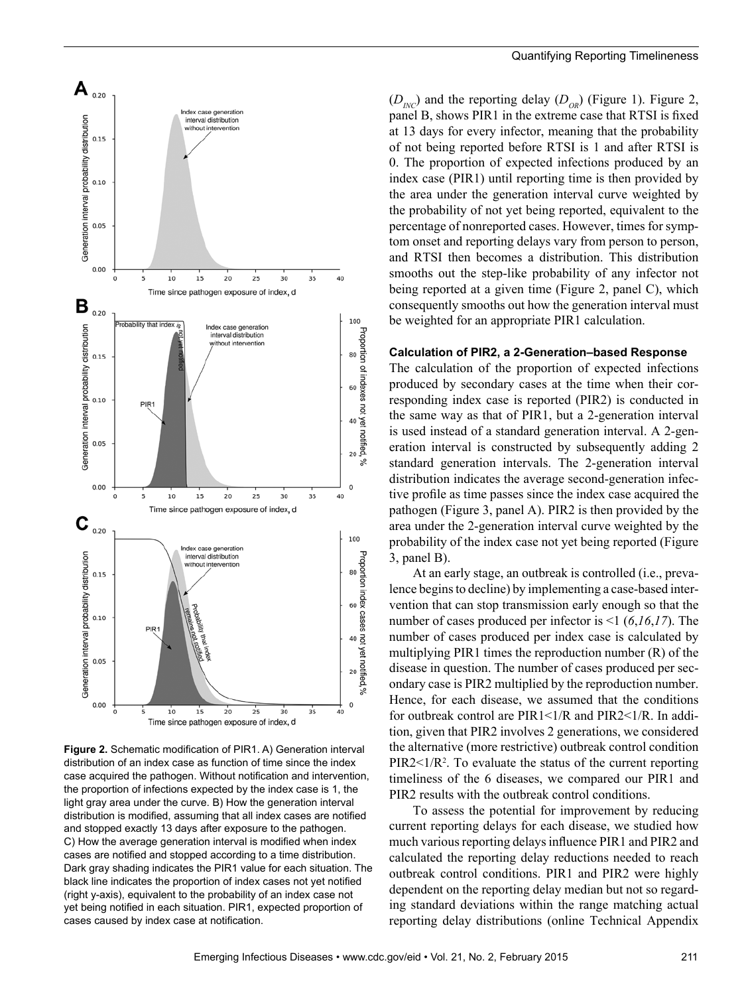

**Figure 2.** Schematic modification of PIR1. A) Generation interval distribution of an index case as function of time since the index case acquired the pathogen. Without notification and intervention, the proportion of infections expected by the index case is 1, the light gray area under the curve. B) How the generation interval distribution is modified, assuming that all index cases are notified and stopped exactly 13 days after exposure to the pathogen. C) How the average generation interval is modified when index cases are notified and stopped according to a time distribution. Dark gray shading indicates the PIR1 value for each situation. The black line indicates the proportion of index cases not yet notified (right y-axis), equivalent to the probability of an index case not yet being notified in each situation. PIR1, expected proportion of cases caused by index case at notification.

 $(D_{\text{NC}})$  and the reporting delay  $(D_{\text{OR}})$  (Figure 1). Figure 2, panel B, shows PIR1 in the extreme case that RTSI is fixed at 13 days for every infector, meaning that the probability of not being reported before RTSI is 1 and after RTSI is 0. The proportion of expected infections produced by an index case (PIR1) until reporting time is then provided by the area under the generation interval curve weighted by the probability of not yet being reported, equivalent to the percentage of nonreported cases. However, times for symptom onset and reporting delays vary from person to person, and RTSI then becomes a distribution. This distribution smooths out the step-like probability of any infector not being reported at a given time (Figure 2, panel C), which consequently smooths out how the generation interval must be weighted for an appropriate PIR1 calculation.

## **Calculation of PIR2, a 2-Generation–based Response**

The calculation of the proportion of expected infections produced by secondary cases at the time when their corresponding index case is reported (PIR2) is conducted in the same way as that of PIR1, but a 2-generation interval is used instead of a standard generation interval. A 2-generation interval is constructed by subsequently adding 2 standard generation intervals. The 2-generation interval distribution indicates the average second-generation infective profile as time passes since the index case acquired the pathogen (Figure 3, panel A). PIR2 is then provided by the area under the 2-generation interval curve weighted by the probability of the index case not yet being reported (Figure 3, panel B).

At an early stage, an outbreak is controlled (i.e., prevalence begins to decline) by implementing a case-based intervention that can stop transmission early enough so that the number of cases produced per infector is <1 (*6*,*16*,*17*). The number of cases produced per index case is calculated by multiplying PIR1 times the reproduction number (R) of the disease in question. The number of cases produced per secondary case is PIR2 multiplied by the reproduction number. Hence, for each disease, we assumed that the conditions for outbreak control are PIR1<1/R and PIR2<1/R. In addition, given that PIR2 involves 2 generations, we considered the alternative (more restrictive) outbreak control condition  $PIR2 < 1/R<sup>2</sup>$ . To evaluate the status of the current reporting timeliness of the 6 diseases, we compared our PIR1 and PIR2 results with the outbreak control conditions.

To assess the potential for improvement by reducing current reporting delays for each disease, we studied how much various reporting delays influence PIR1 and PIR2 and calculated the reporting delay reductions needed to reach outbreak control conditions. PIR1 and PIR2 were highly dependent on the reporting delay median but not so regarding standard deviations within the range matching actual reporting delay distributions (online Technical Appendix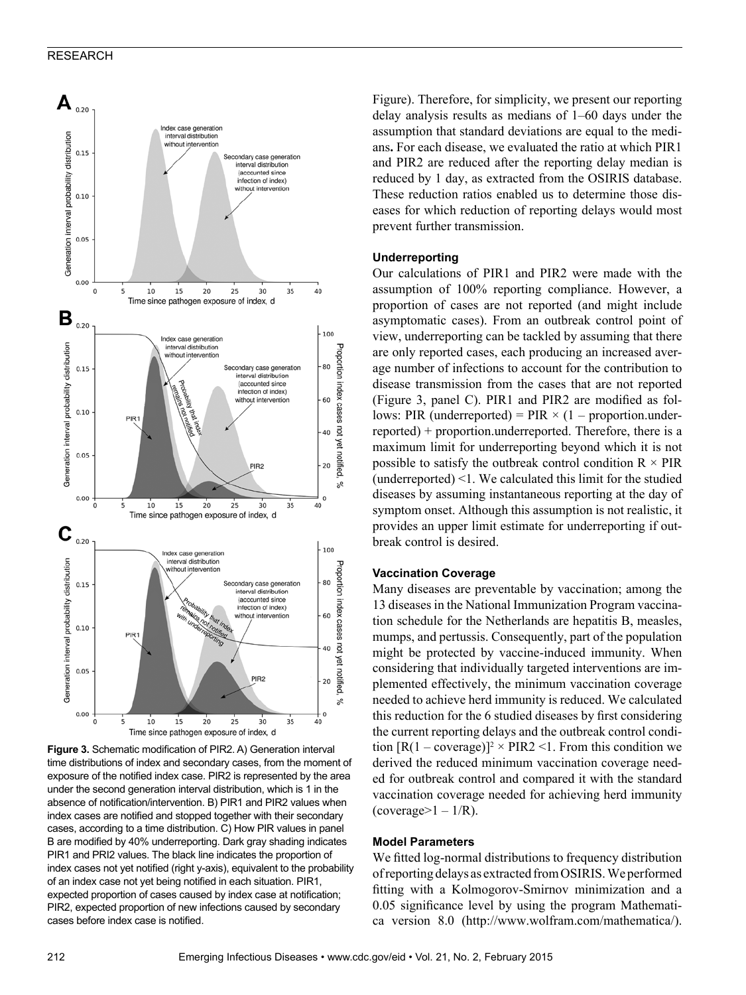

**Figure 3.** Schematic modification of PIR2. A) Generation interval time distributions of index and secondary cases, from the moment of exposure of the notified index case. PIR2 is represented by the area under the second generation interval distribution, which is 1 in the absence of notification/intervention. B) PIR1 and PIR2 values when index cases are notified and stopped together with their secondary cases, according to a time distribution. C) How PIR values in panel B are modified by 40% underreporting. Dark gray shading indicates PIR1 and PRI2 values. The black line indicates the proportion of index cases not yet notified (right y-axis), equivalent to the probability of an index case not yet being notified in each situation. PIR1, expected proportion of cases caused by index case at notification; PIR2, expected proportion of new infections caused by secondary cases before index case is notified.

Figure). Therefore, for simplicity, we present our reporting delay analysis results as medians of 1–60 days under the assumption that standard deviations are equal to the medians**.** For each disease, we evaluated the ratio at which PIR1 and PIR2 are reduced after the reporting delay median is reduced by 1 day, as extracted from the OSIRIS database. These reduction ratios enabled us to determine those diseases for which reduction of reporting delays would most prevent further transmission.

#### **Underreporting**

Our calculations of PIR1 and PIR2 were made with the assumption of 100% reporting compliance. However, a proportion of cases are not reported (and might include asymptomatic cases). From an outbreak control point of view, underreporting can be tackled by assuming that there are only reported cases, each producing an increased average number of infections to account for the contribution to disease transmission from the cases that are not reported (Figure 3, panel C). PIR1 and PIR2 are modified as follows: PIR (underreported) = PIR  $\times$  (1 – proportion.underreported) + proportion.underreported. Therefore, there is a maximum limit for underreporting beyond which it is not possible to satisfy the outbreak control condition  $R \times PIR$ (underreported) <1. We calculated this limit for the studied diseases by assuming instantaneous reporting at the day of symptom onset. Although this assumption is not realistic, it provides an upper limit estimate for underreporting if outbreak control is desired.

#### **Vaccination Coverage**

Many diseases are preventable by vaccination; among the 13 diseases in the National Immunization Program vaccination schedule for the Netherlands are hepatitis B, measles, mumps, and pertussis. Consequently, part of the population might be protected by vaccine-induced immunity. When considering that individually targeted interventions are implemented effectively, the minimum vaccination coverage needed to achieve herd immunity is reduced. We calculated this reduction for the 6 studied diseases by first considering the current reporting delays and the outbreak control condition  $[R(1 - coverage)]^2 \times PIR2 \le 1$ . From this condition we derived the reduced minimum vaccination coverage needed for outbreak control and compared it with the standard vaccination coverage needed for achieving herd immunity  $(coverage>1 - 1/R)$ .

#### **Model Parameters**

We fitted log-normal distributions to frequency distribution of reporting delays as extracted from OSIRIS. We performed fitting with a Kolmogorov-Smirnov minimization and a 0.05 significance level by using the program Mathematica version 8.0 (http://www.wolfram.com/mathematica/).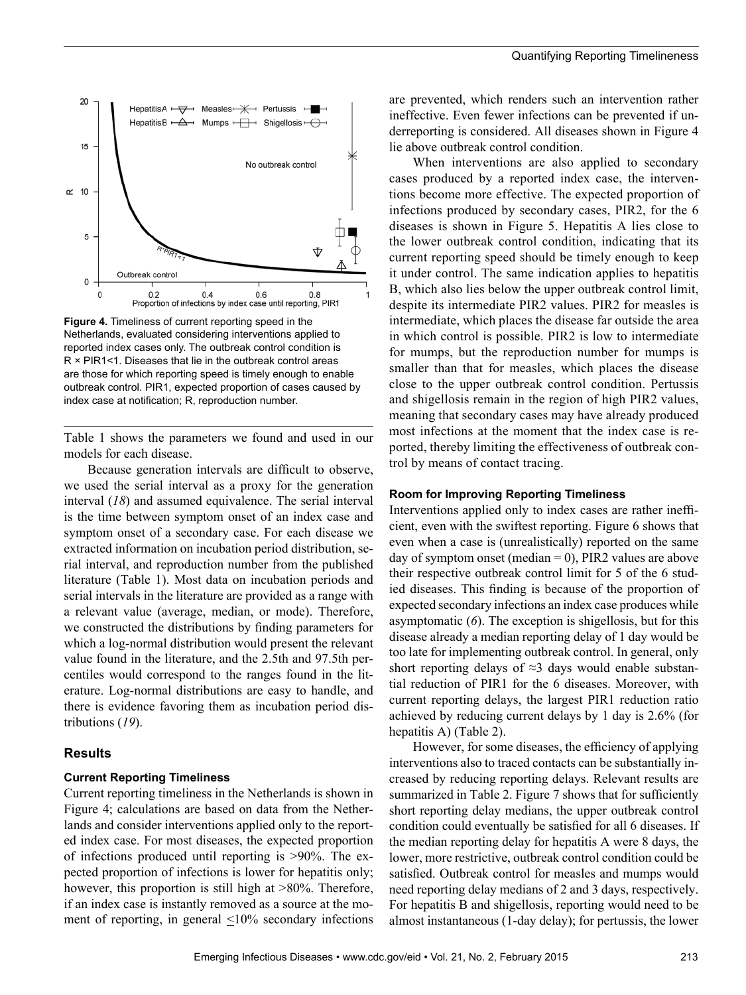

**Figure 4.** Timeliness of current reporting speed in the Netherlands, evaluated considering interventions applied to reported index cases only. The outbreak control condition is R × PIR1<1. Diseases that lie in the outbreak control areas are those for which reporting speed is timely enough to enable outbreak control. PIR1, expected proportion of cases caused by index case at notification; R, reproduction number.

Table 1 shows the parameters we found and used in our models for each disease.

Because generation intervals are difficult to observe, we used the serial interval as a proxy for the generation interval (*18*) and assumed equivalence. The serial interval is the time between symptom onset of an index case and symptom onset of a secondary case. For each disease we extracted information on incubation period distribution, serial interval, and reproduction number from the published literature (Table 1). Most data on incubation periods and serial intervals in the literature are provided as a range with a relevant value (average, median, or mode). Therefore, we constructed the distributions by finding parameters for which a log-normal distribution would present the relevant value found in the literature, and the 2.5th and 97.5th percentiles would correspond to the ranges found in the literature. Log-normal distributions are easy to handle, and there is evidence favoring them as incubation period distributions (*19*).

## **Results**

## **Current Reporting Timeliness**

Current reporting timeliness in the Netherlands is shown in Figure 4; calculations are based on data from the Netherlands and consider interventions applied only to the reported index case. For most diseases, the expected proportion of infections produced until reporting is >90%. The expected proportion of infections is lower for hepatitis only; however, this proportion is still high at  $>80\%$ . Therefore, if an index case is instantly removed as a source at the moment of reporting, in general  $\leq 10\%$  secondary infections

are prevented, which renders such an intervention rather ineffective. Even fewer infections can be prevented if underreporting is considered. All diseases shown in Figure 4 lie above outbreak control condition.

When interventions are also applied to secondary cases produced by a reported index case, the interventions become more effective. The expected proportion of infections produced by secondary cases, PIR2, for the 6 diseases is shown in Figure 5. Hepatitis A lies close to the lower outbreak control condition, indicating that its current reporting speed should be timely enough to keep it under control. The same indication applies to hepatitis B, which also lies below the upper outbreak control limit, despite its intermediate PIR2 values. PIR2 for measles is intermediate, which places the disease far outside the area in which control is possible. PIR2 is low to intermediate for mumps, but the reproduction number for mumps is smaller than that for measles, which places the disease close to the upper outbreak control condition. Pertussis and shigellosis remain in the region of high PIR2 values, meaning that secondary cases may have already produced most infections at the moment that the index case is reported, thereby limiting the effectiveness of outbreak control by means of contact tracing.

## **Room for Improving Reporting Timeliness**

Interventions applied only to index cases are rather inefficient, even with the swiftest reporting. Figure 6 shows that even when a case is (unrealistically) reported on the same day of symptom onset (median  $= 0$ ), PIR2 values are above their respective outbreak control limit for 5 of the 6 studied diseases. This finding is because of the proportion of expected secondary infections an index case produces while asymptomatic (*6*). The exception is shigellosis, but for this disease already a median reporting delay of 1 day would be too late for implementing outbreak control. In general, only short reporting delays of  $\approx$ 3 days would enable substantial reduction of PIR1 for the 6 diseases. Moreover, with current reporting delays, the largest PIR1 reduction ratio achieved by reducing current delays by 1 day is 2.6% (for hepatitis A) (Table 2).

However, for some diseases, the efficiency of applying interventions also to traced contacts can be substantially increased by reducing reporting delays. Relevant results are summarized in Table 2. Figure 7 shows that for sufficiently short reporting delay medians, the upper outbreak control condition could eventually be satisfied for all 6 diseases. If the median reporting delay for hepatitis A were 8 days, the lower, more restrictive, outbreak control condition could be satisfied. Outbreak control for measles and mumps would need reporting delay medians of 2 and 3 days, respectively. For hepatitis B and shigellosis, reporting would need to be almost instantaneous (1-day delay); for pertussis, the lower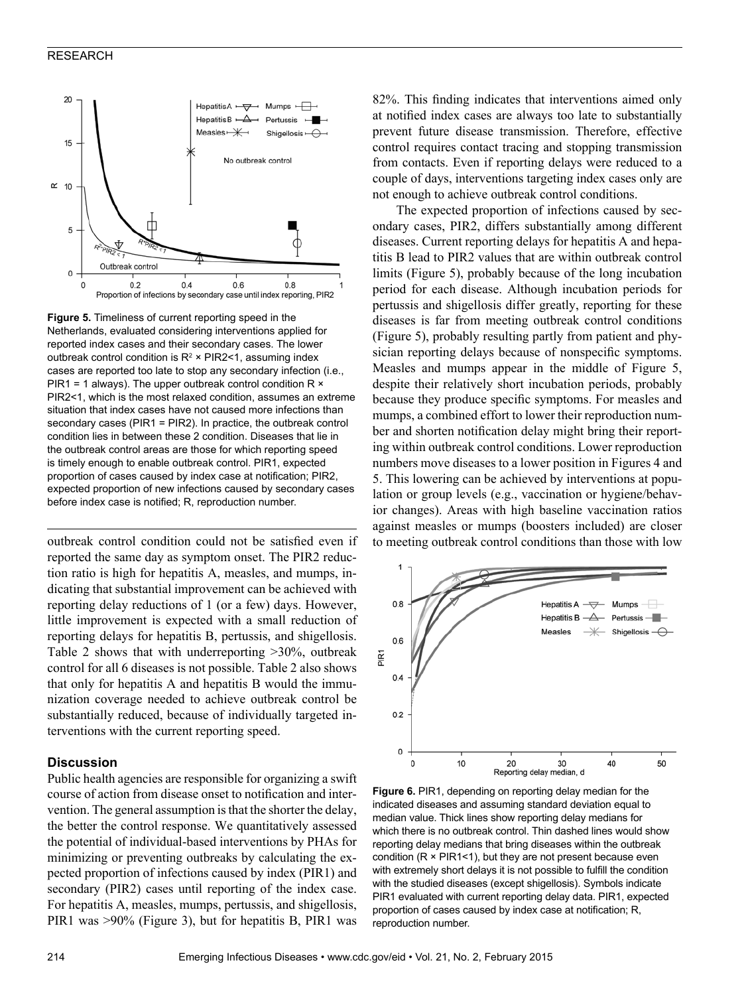

**Figure 5.** Timeliness of current reporting speed in the Netherlands, evaluated considering interventions applied for reported index cases and their secondary cases. The lower outbreak control condition is  $R^2 \times PIR2$  < 1, assuming index cases are reported too late to stop any secondary infection (i.e., PIR1 = 1 always). The upper outbreak control condition  $R \times$ PIR2<1, which is the most relaxed condition, assumes an extreme situation that index cases have not caused more infections than secondary cases (PIR1 = PIR2). In practice, the outbreak control condition lies in between these 2 condition. Diseases that lie in the outbreak control areas are those for which reporting speed is timely enough to enable outbreak control. PIR1, expected proportion of cases caused by index case at notification; PIR2, expected proportion of new infections caused by secondary cases before index case is notified; R, reproduction number.

outbreak control condition could not be satisfied even if reported the same day as symptom onset. The PIR2 reduction ratio is high for hepatitis A, measles, and mumps, indicating that substantial improvement can be achieved with reporting delay reductions of 1 (or a few) days. However, little improvement is expected with a small reduction of reporting delays for hepatitis B, pertussis, and shigellosis. Table 2 shows that with underreporting >30%, outbreak control for all 6 diseases is not possible. Table 2 also shows that only for hepatitis A and hepatitis B would the immunization coverage needed to achieve outbreak control be substantially reduced, because of individually targeted interventions with the current reporting speed.

## **Discussion**

Public health agencies are responsible for organizing a swift course of action from disease onset to notification and intervention. The general assumption is that the shorter the delay, the better the control response. We quantitatively assessed the potential of individual-based interventions by PHAs for minimizing or preventing outbreaks by calculating the expected proportion of infections caused by index (PIR1) and secondary (PIR2) cases until reporting of the index case. For hepatitis A, measles, mumps, pertussis, and shigellosis, PIR1 was >90% (Figure 3), but for hepatitis B, PIR1 was

82%. This finding indicates that interventions aimed only at notified index cases are always too late to substantially prevent future disease transmission. Therefore, effective control requires contact tracing and stopping transmission from contacts. Even if reporting delays were reduced to a couple of days, interventions targeting index cases only are not enough to achieve outbreak control conditions.

The expected proportion of infections caused by secondary cases, PIR2, differs substantially among different diseases. Current reporting delays for hepatitis A and hepatitis B lead to PIR2 values that are within outbreak control limits (Figure 5), probably because of the long incubation period for each disease. Although incubation periods for pertussis and shigellosis differ greatly, reporting for these diseases is far from meeting outbreak control conditions (Figure 5), probably resulting partly from patient and physician reporting delays because of nonspecific symptoms. Measles and mumps appear in the middle of Figure 5, despite their relatively short incubation periods, probably because they produce specific symptoms. For measles and mumps, a combined effort to lower their reproduction number and shorten notification delay might bring their reporting within outbreak control conditions. Lower reproduction numbers move diseases to a lower position in Figures 4 and 5. This lowering can be achieved by interventions at population or group levels (e.g., vaccination or hygiene/behavior changes). Areas with high baseline vaccination ratios against measles or mumps (boosters included) are closer to meeting outbreak control conditions than those with low



**Figure 6.** PIR1, depending on reporting delay median for the indicated diseases and assuming standard deviation equal to median value. Thick lines show reporting delay medians for which there is no outbreak control. Thin dashed lines would show reporting delay medians that bring diseases within the outbreak condition  $(R \times PIR1<1)$ , but they are not present because even with extremely short delays it is not possible to fulfill the condition with the studied diseases (except shigellosis). Symbols indicate PIR1 evaluated with current reporting delay data. PIR1, expected proportion of cases caused by index case at notification; R, reproduction number.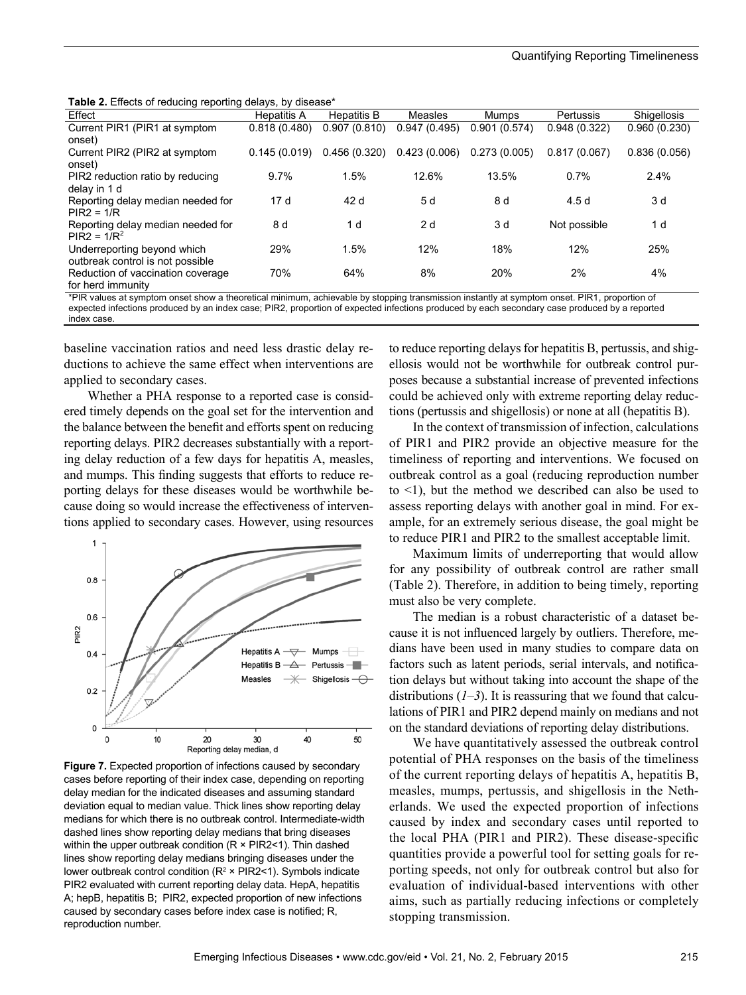**Table 2.** Effects of reducing reporting delays, by disease\*

| Effect                            | <b>Hepatitis A</b> | <b>Hepatitis B</b> | Measles      | Mumps        | Pertussis    | <b>Shigellosis</b> |
|-----------------------------------|--------------------|--------------------|--------------|--------------|--------------|--------------------|
| Current PIR1 (PIR1 at symptom     | 0.818(0.480)       | 0.907(0.810)       | 0.947(0.495) | 0.901(0.574) | 0.948(0.322) | 0.960(0.230)       |
| onset)                            |                    |                    |              |              |              |                    |
| Current PIR2 (PIR2 at symptom     | 0.145(0.019)       | 0.456(0.320)       | 0.423(0.006) | 0.273(0.005) | 0.817(0.067) | 0.836(0.056)       |
| onset)                            |                    |                    |              |              |              |                    |
| PIR2 reduction ratio by reducing  | 9.7%               | 1.5%               | 12.6%        | 13.5%        | 0.7%         | 2.4%               |
| delay in 1 d                      |                    |                    |              |              |              |                    |
| Reporting delay median needed for | 17d                | 42 d               | 5 d          | 8 d          | 4.5 d        | 3 d                |
| $PIR2 = 1/R$                      |                    |                    |              |              |              |                    |
| Reporting delay median needed for | 8 d                | 1 d                | 2d           | 3 d          | Not possible | 1 d                |
| $PIR2 = 1/R2$                     |                    |                    |              |              |              |                    |
| Underreporting beyond which       | 29%                | 1.5%               | 12%          | 18%          | 12%          | 25%                |
| outbreak control is not possible  |                    |                    |              |              |              |                    |
| Reduction of vaccination coverage | 70%                | 64%                | 8%           | 20%          | 2%           | 4%                 |
| for herd immunity                 |                    |                    |              |              |              |                    |

\*PIR values at symptom onset show a theoretical minimum, achievable by stopping transmission instantly at symptom onset. PIR1, proportion of expected infections produced by an index case; PIR2, proportion of expected infections produced by each secondary case produced by a reported index case.

baseline vaccination ratios and need less drastic delay reductions to achieve the same effect when interventions are applied to secondary cases.

Whether a PHA response to a reported case is considered timely depends on the goal set for the intervention and the balance between the benefit and efforts spent on reducing reporting delays. PIR2 decreases substantially with a reporting delay reduction of a few days for hepatitis A, measles, and mumps. This finding suggests that efforts to reduce reporting delays for these diseases would be worthwhile because doing so would increase the effectiveness of interventions applied to secondary cases. However, using resources



**Figure 7.** Expected proportion of infections caused by secondary cases before reporting of their index case, depending on reporting delay median for the indicated diseases and assuming standard deviation equal to median value. Thick lines show reporting delay medians for which there is no outbreak control. Intermediate-width dashed lines show reporting delay medians that bring diseases within the upper outbreak condition (R × PIR2<1). Thin dashed lines show reporting delay medians bringing diseases under the lower outbreak control condition  $(R^2 \times PIR2<1)$ . Symbols indicate PIR2 evaluated with current reporting delay data. HepA, hepatitis A; hepB, hepatitis B; PIR2, expected proportion of new infections caused by secondary cases before index case is notified; R, reproduction number.

to reduce reporting delays for hepatitis B, pertussis, and shigellosis would not be worthwhile for outbreak control purposes because a substantial increase of prevented infections could be achieved only with extreme reporting delay reductions (pertussis and shigellosis) or none at all (hepatitis B).

In the context of transmission of infection, calculations of PIR1 and PIR2 provide an objective measure for the timeliness of reporting and interventions. We focused on outbreak control as a goal (reducing reproduction number to  $\leq$ 1), but the method we described can also be used to assess reporting delays with another goal in mind. For example, for an extremely serious disease, the goal might be to reduce PIR1 and PIR2 to the smallest acceptable limit.

Maximum limits of underreporting that would allow for any possibility of outbreak control are rather small (Table 2). Therefore, in addition to being timely, reporting must also be very complete.

The median is a robust characteristic of a dataset because it is not influenced largely by outliers. Therefore, medians have been used in many studies to compare data on factors such as latent periods, serial intervals, and notification delays but without taking into account the shape of the distributions  $(1-3)$ . It is reassuring that we found that calculations of PIR1 and PIR2 depend mainly on medians and not on the standard deviations of reporting delay distributions.

We have quantitatively assessed the outbreak control potential of PHA responses on the basis of the timeliness of the current reporting delays of hepatitis A, hepatitis B, measles, mumps, pertussis, and shigellosis in the Netherlands. We used the expected proportion of infections caused by index and secondary cases until reported to the local PHA (PIR1 and PIR2). These disease-specific quantities provide a powerful tool for setting goals for reporting speeds, not only for outbreak control but also for evaluation of individual-based interventions with other aims, such as partially reducing infections or completely stopping transmission.